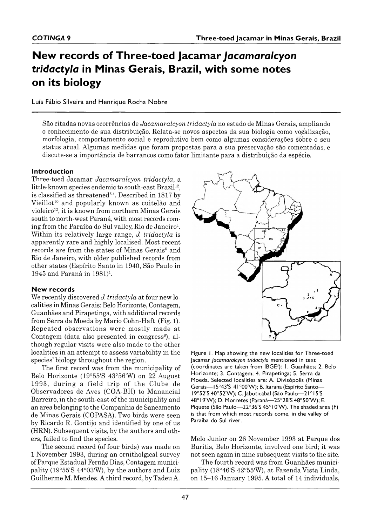# **New records of Three-toed Jacamar** *Jacamaralcyon tridactyla* **in Minas Gerais, Brazil, with some notes on its biology**

Luís Fábio Silveira and Henrique Rocha Nobre

São citadas novas ocorrências de *Jacamaralcyon tridactyla* no estado de Minas Gerais, ampliando o conhecimento de sua distribuição. R elata-se novos aspectos da sua biologia como voçalização, morfologia, com portam ento social e reprodutivo bem como algum as considerações sobre o seu status atual. Algumas medidas que foram propostas para a sua preservação são comentadas, e discute-se a im portância de barrancos como fator lim itante para a distribuição da espécie.

#### **Introduction**

Three-toed Jacamar Jacamaralcyon tridactyla, a little-known species endemic to south-east Brazil<sup>12</sup>, is classified as threatened<sup>3,4</sup>. Described in 1817 by Vieillot<sup>10</sup> and popularly known as cuitelão and violeiro<sup>12</sup>, it is known from northern Minas Gerais south to north-west Paraná, with most records coming from the Paraíba do Sul valley, Rio de Janeiro<sup>1</sup>. Within its relatively large range, *J. tridactyla* is apparently rare and highly localised. Most recent records are from the states of Minas Gerais<sup>5</sup> and Rio de Janeiro, with older published records from other states (Espírito Santo in 1940, São Paulo in 1945 and Paraná in  $1981$ <sup>1</sup>.

#### **New records**

We recently discovered *J. tridactyla* at four new localities in Minas Gerais: Belo Horizonte, Contagem, Guanhães and Pirapetinga, with additional records from Serra da Moeda by Mario Cohn-Haft (Fig. 1). Repeated observations were mostly made at Contagem (data also presented in congress<sup>8</sup>), although regular visits were also made to the other localities in an attempt to assess variability in the species' biology throughout the region.

The first record was from the municipality of Belo Horizonte (19°55'S 43°56'W) on 22 August 1993, during a field trip of the Clube de Observadores de Aves (COA-BH) to Manancial Barreiro, in the south-east of the municipality and an area belonging to the Companhia de Saneamento de Minas Gerais (COPASA). Two birds were seen by Ricardo R. Gontijo and identified by one of us (HRN). Subsequent visits, by the authors and others, failed to find the species.

The second record (of four birds) was made on 1 November 1993, during an ornitholgical survey of Parque Estadual Fernão Dias, Contagem municipality ( $19^{\circ}55'S 44^{\circ}03'W$ ), by the authors and Luiz Guilherme M. Mendes. A third record, by Tadeu A.



Figure 1. Map showing the new localities for Three-toed Jacamar *Jacamaralcyon tridactyla* mentioned in text (coordinates are taken from IBGE3): 1. Guanhães; 2. Belo Horizonte; 3. Contagem; 4. Pirapetinga; 5. Serra da Moeda. Selected localities are: A. Divisópolis (Minas Gerais-15°43'S 41°00'W); B. Itarana (Espírito Santo-19°52'S 40°52'W); C. Jaboticabal (São Paulo-21°15'S 48°19'W); D. Morretes (Paraná — 25°28'S 48°50'W); E. Piquete (São Paulo —  $22^{\circ}36'$ S 45°10'W). The shaded area (F) is that from which most records come, in the valley of Paraíba do Sul river.

Melo Junior on 26 November 1993 at Parque dos Buritis, Belo Horizonte, involved one bird; it was not seen again in nine subsequent visits to the site.

The fourth record was from Guanhães municipality (18°46'S 42°55'W), at Fazenda Vista Linda, on 15-16 January 1995. A total of 14 individuals,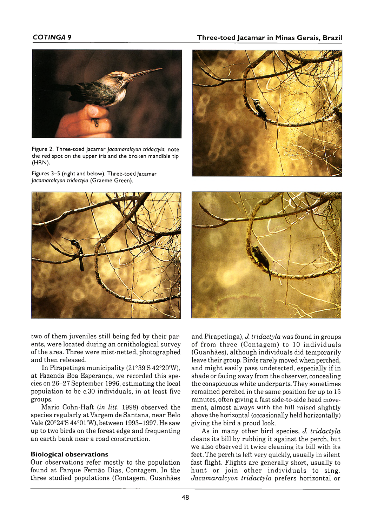### *COTINGA* **9 T h r e e - t o e d J a c a m a r in M in a s G e r a i s , B r a z i l**



Figure 2. Three-toed lacamar *lacamaralcyon tridactyla*; note the red spot on the upper iris and the broken mandible tip (HRN).

Figures 3–5 (right and below). Three-toed Jacamar Jacamaralcyon tridactyla (Graeme Green).



two of them juveniles still being fed by their parents, were located during an ornithological survey of the area. Three were mist-netted, photographed and then released.

In Pirapetinga municipality  $(21°39'S 42°20'W)$ , at Fazenda Boa Esperança, we recorded this species on 26–27 Septem ber 1996, estim ating the local population to be c. 30 individuals, in at least five groups.

M ario Cohn-Haft (*in litt.* 1998) observed the species regularly at Vargem de Santana, near Belo Vale (20°24'S 44°01'W), between 1993– 1997. He saw up to two birds on the forest edge and frequenting an earth bank near a road construction.

#### **Biological observations**

Our observations refer mostly to the population found at Parque Fernão Dias, Contagem. In the three studied populations (Contagem, Guanhães





and Pirapetinga), *J. tridactyla* was found in groups of from three (Contagem) to 10 individuals (Guanhães), although individuals did tem porarily leave their group. Birds rarely moved when perched, and might easily pass undetected, especially if in shade or facing away from the observer, concealing the conspicuous white underparts. They sometimes remained perched in the same position for up to 15 minutes, often giving a fast side-to-side head movement, almost always with the hill raised slightly above the horizontal (occasionally held horizontally) giving the bird a proud look.

As in m any other bird species, *J. tridactyla* cleans its bill by rubbing it against the perch, but we also observed it twice cleaning its bill with its feet. The perch is left very quickly, usually in silent fast flight. Flights are generally short, usually to hunt or join other individuals to sing. *Jacam aralcyon tridactyla* prefers horizontal or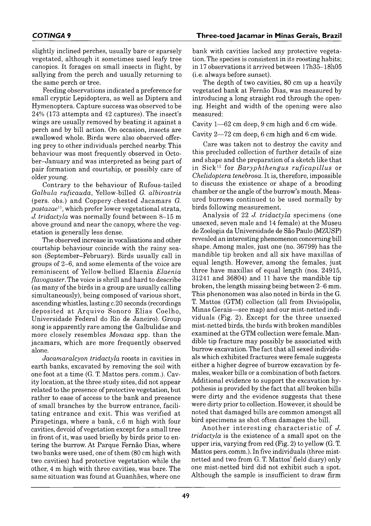slightly inclined perches, usually bare or sparsely vegetated, although it sometimes used leafy tree canopies. It forages on small insects in flight, by sallying from the perch and usually returning to the same perch or tree.

Feeding observations indicated a preference for small cryptic Lepidoptera, as well as Diptera and Hymenoptera. Capture success was observed to be  $24\%$  (173 attempts and 42 captures). The insect's wings are usually removed by beating it against a perch and by bill action. On occasion, insects are swallowed whole. Birds were also observed offering prey to other individuals perched nearby. This behaviour was most frequently observed in October–January and was interpreted as being part of pair formation and courtship, or possibly care of older young.

Contrary to the behaviour of Rufous-tailed *G albula ruficauda*, Yellow-billed *G. albirostris* (pers. obs.) and Coppery-chested Jacamars *G*. *pastazae*11, which prefer lower vegetational strata, *J. tridactyla* was normally found between 8-15 m above ground and near the canopy, where the vegetation is generally less dense.

The observed increase in vocalisations and other courtship behaviour coincide with the rainy season (September–February). Birds usually call in groups of  $2-6$ , and some elements of the voice are reminiscent of Yellow-bellied Elaenia *Elaenia flavogaster.* The voice is shrill and hard to describe (as many of the birds in a group are usually calling simultaneously), being composed of various short, ascending whistles, lasting c. 20 seconds (recordings deposited at Arquivo Sonoro Elias Coelho, Universidade Federal do Rio de Janeiro). Group song is apparently rare among the Galbulidae and more closely resembles *Monasa* spp. than the jacamars, which are more frequently observed alone.

*Jacamaralcyon tridactyla* roosts in cavities in earth banks, excavated by removing the soil with one foot at a time  $(G, T, Mattos pers. comm.)$ . Cavity location, at the three study sites, did not appear related to the presence of protective vegetation, but rather to ease of access to the bank and presence of sm all branches by the burrow entrance, facilitating entrance and exit. This was verified at Pirapetinga, where a bank, c.6 m high with four cavities, devoid of vegetation except for a small tree in front of it, was used briefly by birds prior to entering the burrow. At Parque Fernão Dias, where two banks were used, one of them (80 cm high with two cavities) had protective vegetation while the other, 4 m high with three cavities, was bare. The same situation was found at Guanhães, where one

bank with cavities lacked any protective vegetation. The species is consistent in its roosting habits; in 17 observations it arrived between 17h35– 18h05 (i.e. always before sunset).

The depth of two cavities, 80 cm up a heavily vegetated bank at Fernão Dias, was measured by introducing a long straight rod through the opening. Height and width of the opening were also measured:

Cavity  $1 - 62$  cm deep, 9 cm high and 6 cm wide.

Cavity  $2-72$  cm deep, 6 cm high and 6 cm wide.

Care was taken not to destroy the cavity and this precluded collection of further details of size and shape and the preparation of a sketch like that in Sick<sup>12</sup> for *Baryphthengus ruficapillus* or *Chelidoptera tenebrosa.* It is, therefore, impossible to discuss the existence or shape of a brooding chamber or the angle of the burrow's mouth. Measured burrows continued to be used normally by birds following measurement.

Analysis of 22 *J. tridactyla* specimens (one unsexed, seven male and 14 female) at the Museu de Zoologia da Universidade de São Paulo (MZUSP) revealed an interesting phenomenon concerning bill shape. Among males, just one (no. 36799) has the mandible tip broken and all six have maxillas of equal length. However, among the females, just three have maxillas of equal length (nos.  $24915$ ,  $31241$  and  $36804$ ) and  $11$  have the mandible tip broken, the length missing being between 2-6 mm. This phenonomen was also noted in birds in the G. T. Mattos (GTM) collection (all from Divisópolis, Minas Gerais—see map) and our mist-netted individuals (Fig. 2). Except for the three unsexed mist-netted birds, the birds with broken mandibles examined at the GTM collection were female. Mandible tip fracture may possibly be associated with burrow excavation. The fact that all sexed individuals which exhibited fractures were female suggests either a higher degree of burrow excavation by females, weaker bills or a combination of both factors. Additional evidence to support the excavation hypothesis is provided by the fact that all broken bills were dirty and the evidence suggests that these were dirty prior to collection. However, it should be noted that damaged bills are common amongst all bird specimens as shot often damages the bill.

Another interesting characteristic of *J. tridactyla* is the existence of a small spot on the upper iris, varying from red (Fig. 2) to yellow (G. T. Mattos pers. comm.). In five individuals (three mistnetted and two from G. T. Mattos' field diary) only one m ist-netted bird did not exhibit such a spot. Although the sample is insufficient to draw firm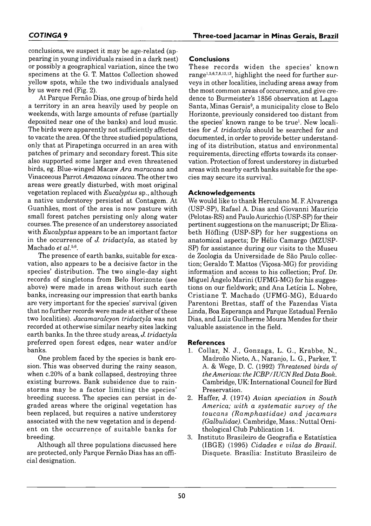conclusions, we suspect it may be age-related (appearing in young individuals raised in a dark nest) or possibly a geographical variation, since the two specimens at the G. T. Mattos Collection showed yellow spots, while the two individuals analysed by us were red (Fig. 2).

At Parque Fernão Dias, one group of birds held a territory in an area heavily used by people on weekends, with large amounts of refuse (partially deposited near one of the banks) and loud music. The birds were apparently not sufficiently affected to vacate the area. Of the three studied populations, only that at Pirapetinga occurred in an area with patches of primary and secondary forest. This site also supported some larger and even threatened birds, eg. Blue-winged Macaw Ara maracana and Vinaceeous Parrot *Amazona vinacea*. The other two areas were greatly disturbed, with most original vegetation replaced with *Eucalyptus* sp., although a native understorey persisted at Contagem. At Guanhães, most of the area is now pasture with small forest patches persisting only along water courses. The presence of an understorey associated with *Eucalyptus* appears to be an important factor in the occurrence of *J. tridactyla*, as stated by Machado *et al.*<sup>5,6</sup>.

The presence of earth banks, suitable for excavation, also appears to be a decisive factor in the species' distribution. The two single-day sight records of singletons from Belo Horizonte (see above) were made in areas without such earth banks, increasing our impression that earth banks are very im portant for the species' survival (given that no further records were made at either of these two localities). *Jacamaralcyon tridactyla* was not recorded at otherwise similar nearby sites lacking earth banks. In the three study areas, *J. tridactyla* preferred open forest edges, near water and/or banks.

One problem faced by the species is bank erosion. This was observed during the rainy season, when c.20% of a bank collapsed, destroying three existing burrows. Bank subsidence due to rainstorms may be a factor limiting the species' breeding success. The species can persist in degraded areas w here the original vegetation has been replaced, but requires a native understorey associated with the new vegetation and is dependent on the occurrence of suitable banks for breeding.

Although all three populations discussed here are protected, only Parque Fernão Dias has an official designation.

# **Conclusions**

These records widen the species' known range<sup>1,5,6,7,8,12,13</sup>, highlight the need for further surveys in other localities, including areas away from the most common areas of occurrence, and give credence to Burmeister's 1856 observation at Lagoa Santa, Minas Gerais<sup>9</sup>, a municipality close to Belo Horizonte, previously considered too distant from the species' known range to be true<sup>1</sup>. New localities for *J. tridactyla* should be searched for and documented, in order to provide better understanding of its distribution, status and environmental requirements, directing efforts towards its conservation. Protection of forest understorey in disturbed areas w ith nearby earth banks suitable for the species may secure its survival.

# **Acknowledgements**

We would like to thank Herculano M. F. Alvarenga (USP-SP), Rafael A. Dias and Giovanni Maurício (Pelotas-RS) and Paulo Auricchio (USP-SP) for their pertinent suggestions on the manuscript; Dr Elizabeth Höfling (USP-SP) for her suggestions on anatomical aspects; Dr Hélio Camargo (MZUSP-SP) for assistance during our visits to the Museu de Zoologia da Universidade de São Paulo collection; Geraldo T. Mattos (Viçosa-MG) for providing information and access to his collection; Prof. Dr. Miguel  $\hat{A}$ ngelo Marini (UFMG-MG) for his suggestions on our fieldwork; and Ana Letícia L. Nobre, Cristiane T. Machado (UFMG-MG), Eduardo Parentoni Brettas, staff of the Fazendas Vista Linda, Boa Esperança and Parque Estadual Fernão Dias, and Luiz Guilherme Moura Mendes for their valuable assistance in the field.

## **R e fe r e n c e s**

- 1. Collar, N. J., Gonzaga, L. G., Krabbe, N., Madroño Nieto, A., Naranjo, L. G., Parker, T. A. & Wege, D. C. (1992) *Threatened birds of the Americas: the IC B P /IU C N Red Data Book.* Cambridge, UK: International Council for Bird Preservation.
- 2. Haffer, J. (1974) Avian speciation in South America; with a systematic survey of the *toucans (Ramphastidae) and jacamars (Galbulidae).* Cambridge, Mass.: Nuttal Ornithological Club Publication 14.
- 3. Instituto Brasileiro de Geografia e Estatística (IBGE) (1995) *C idades e vilas do B rasil.* Disquete. Brasília: Instituto Brasileiro de